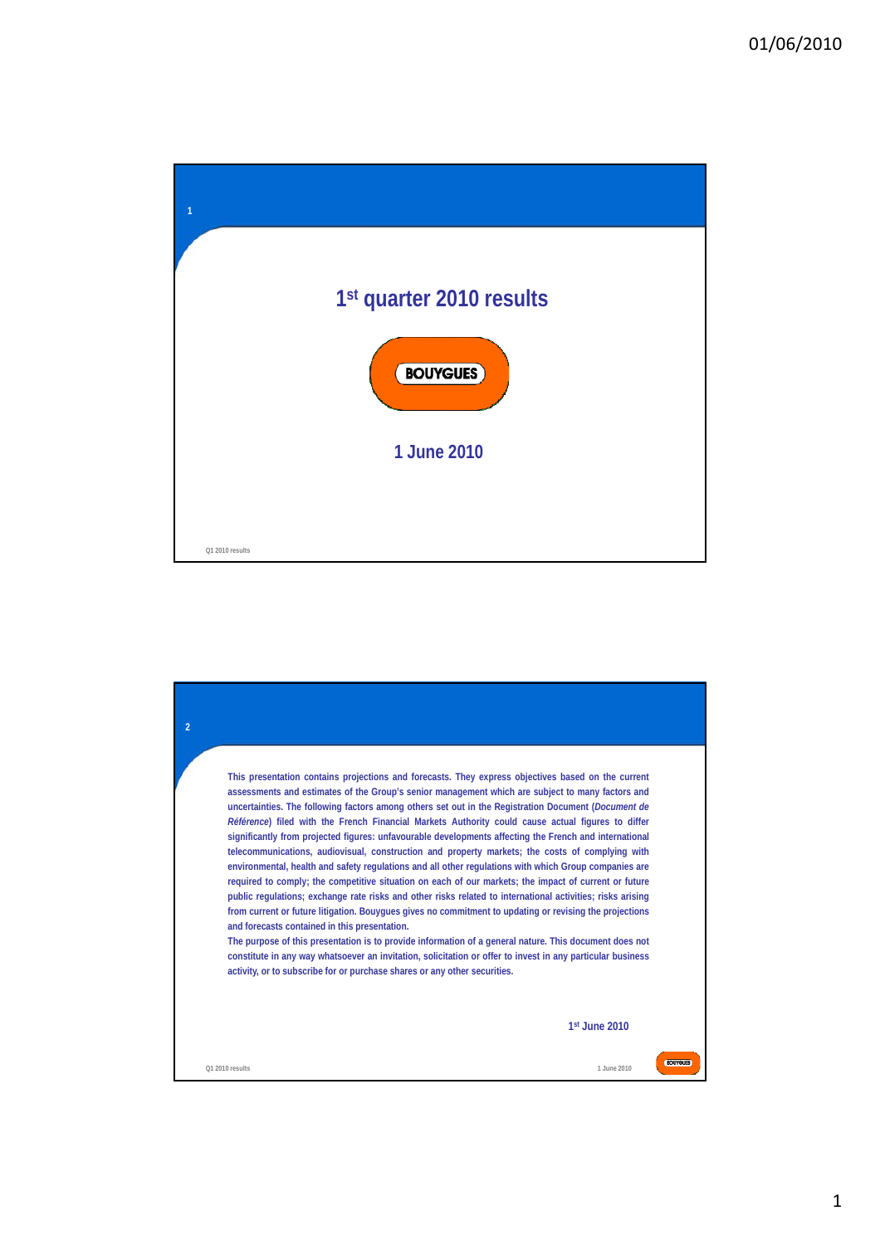

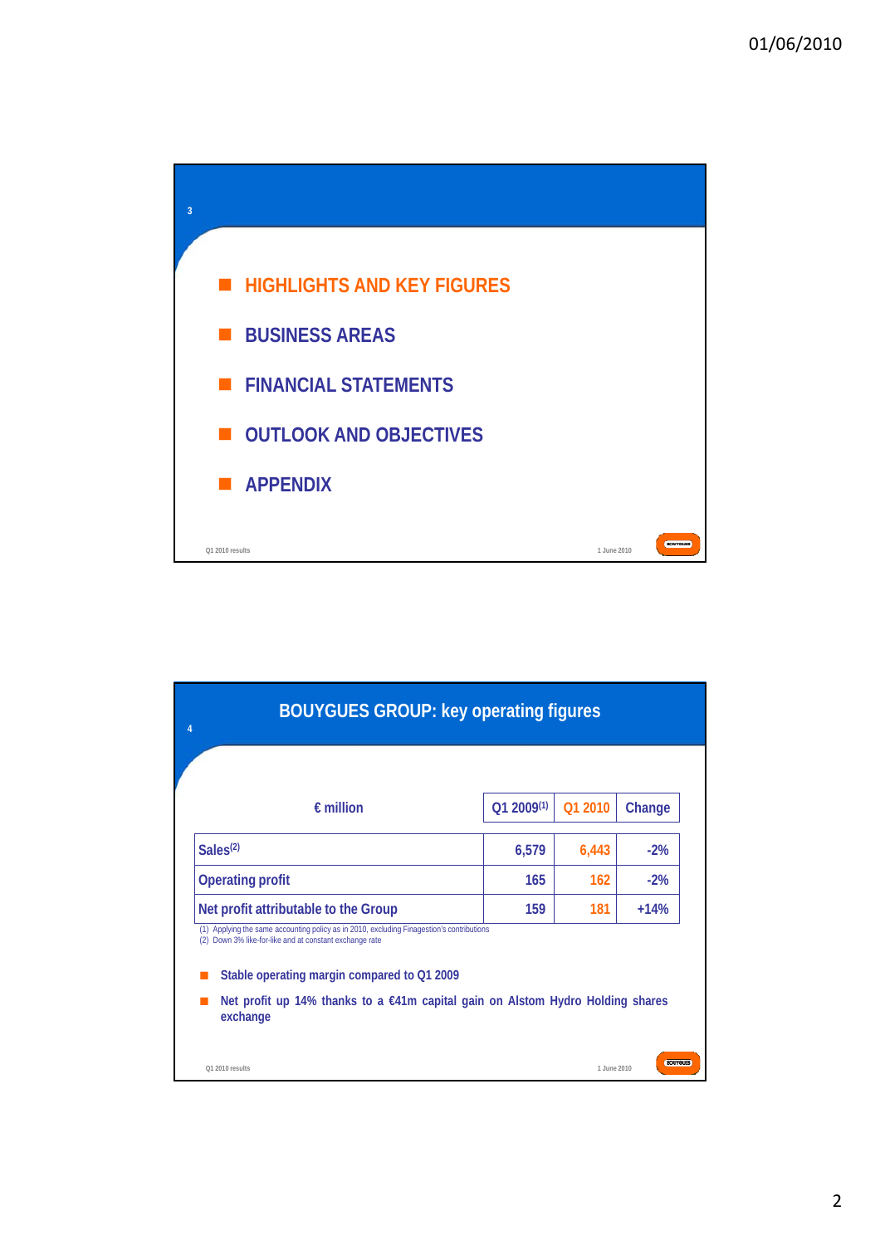

| <b>BOUYGUES GROUP: key operating figures</b>                                                                                                                                                                                                                                                         |                 |             |                |
|------------------------------------------------------------------------------------------------------------------------------------------------------------------------------------------------------------------------------------------------------------------------------------------------------|-----------------|-------------|----------------|
|                                                                                                                                                                                                                                                                                                      |                 |             |                |
| $\epsilon$ million                                                                                                                                                                                                                                                                                   | $Q1 2009^{(1)}$ | Q1 2010     | Change         |
| Sales <sup>(2)</sup>                                                                                                                                                                                                                                                                                 | 6,579           | 6,443       | $-2%$          |
| <b>Operating profit</b>                                                                                                                                                                                                                                                                              | 165             | 162         | $-2%$          |
| Net profit attributable to the Group                                                                                                                                                                                                                                                                 | 159             | 181         | $+14%$         |
| (1) Applying the same accounting policy as in 2010, excluding Finagestion's contributions<br>Down 3% like-for-like and at constant exchange rate<br>(2)<br>Stable operating margin compared to Q1 2009<br>Net profit up 14% thanks to a €41m capital gain on Alstom Hydro Holding shares<br>exchange |                 |             |                |
| O1 2010 results                                                                                                                                                                                                                                                                                      |                 | 1.June 2010 | <b>BOUYGUE</b> |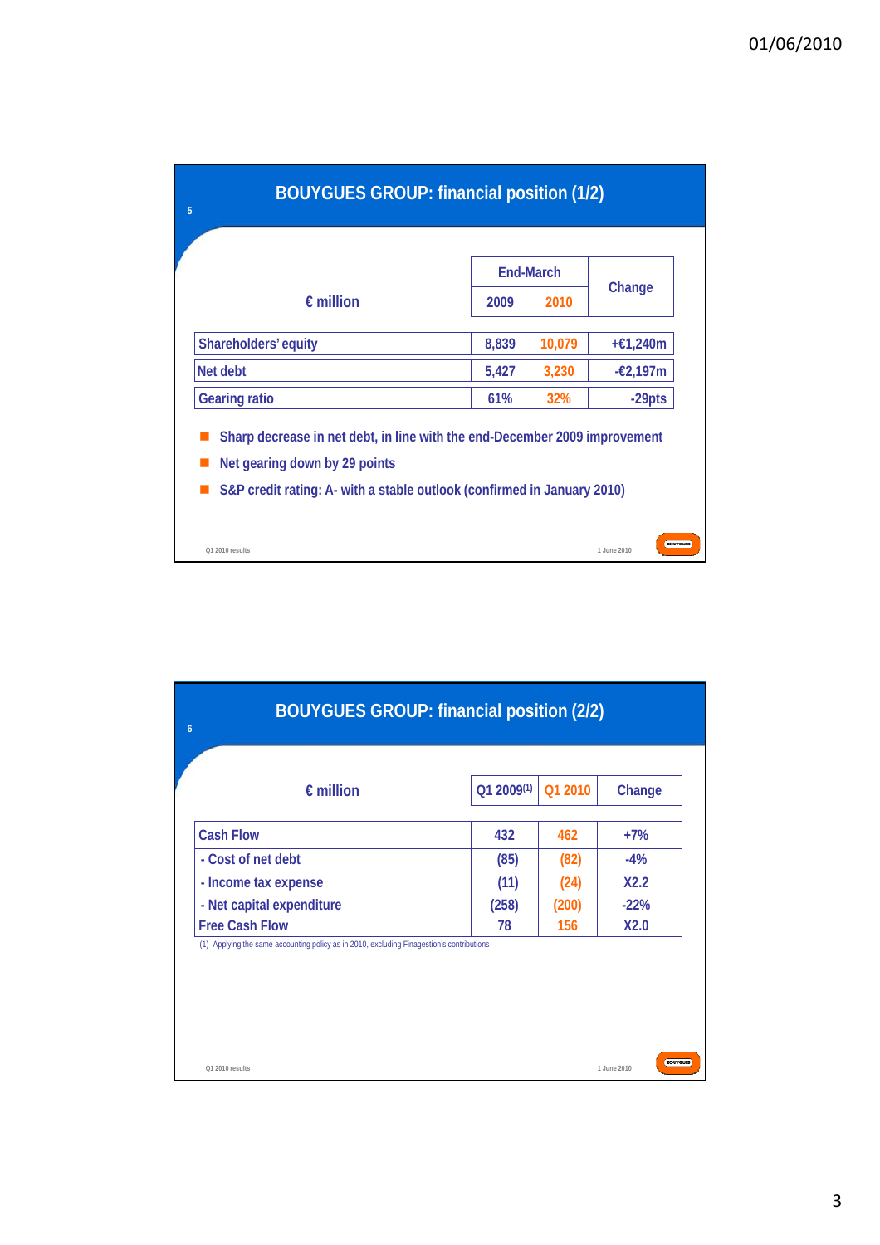| <b>BOUYGUES GROUP: financial position (1/2)</b><br>5                                                                                                                                   |       |                  |             |                   |
|----------------------------------------------------------------------------------------------------------------------------------------------------------------------------------------|-------|------------------|-------------|-------------------|
|                                                                                                                                                                                        |       | <b>End-March</b> |             |                   |
| $\epsilon$ million                                                                                                                                                                     | 2009  | 2010             | Change      |                   |
| Shareholders' equity                                                                                                                                                                   | 8,839 | 10,079           | +€1,240m    |                   |
| Net debt                                                                                                                                                                               | 5,427 | 3,230            | $-£2,197m$  |                   |
| <b>Gearing ratio</b>                                                                                                                                                                   | 61%   | <b>32%</b>       | $-29pts$    |                   |
| Sharp decrease in net debt, in line with the end-December 2009 improvement<br>Net gearing down by 29 points<br>S&P credit rating: A- with a stable outlook (confirmed in January 2010) |       |                  |             |                   |
| O1 2010 results                                                                                                                                                                        |       |                  | 1.June 2010 | <b>BCXUTGLIBS</b> |

| <b>BOUYGUES GROUP: financial position (2/2)</b><br>$\overline{6}$                         |                 |         |                                |
|-------------------------------------------------------------------------------------------|-----------------|---------|--------------------------------|
| $\epsilon$ million                                                                        | $Q1 2009^{(1)}$ | Q1 2010 | Change                         |
| <b>Cash Flow</b>                                                                          | 432             | 462     | $+7%$                          |
| - Cost of net debt                                                                        | (85)            | (82)    | $-4%$                          |
| - Income tax expense                                                                      | (11)            | (24)    | X2.2                           |
| - Net capital expenditure                                                                 | (258)           | (200)   | $-22%$                         |
| <b>Free Cash Flow</b>                                                                     | 78              | 156     | X2.0                           |
| (1) Applying the same accounting policy as in 2010, excluding Finagestion's contributions |                 |         |                                |
|                                                                                           |                 |         |                                |
| Q1 2010 results                                                                           |                 |         | <b>BOUYGUES</b><br>1 June 2010 |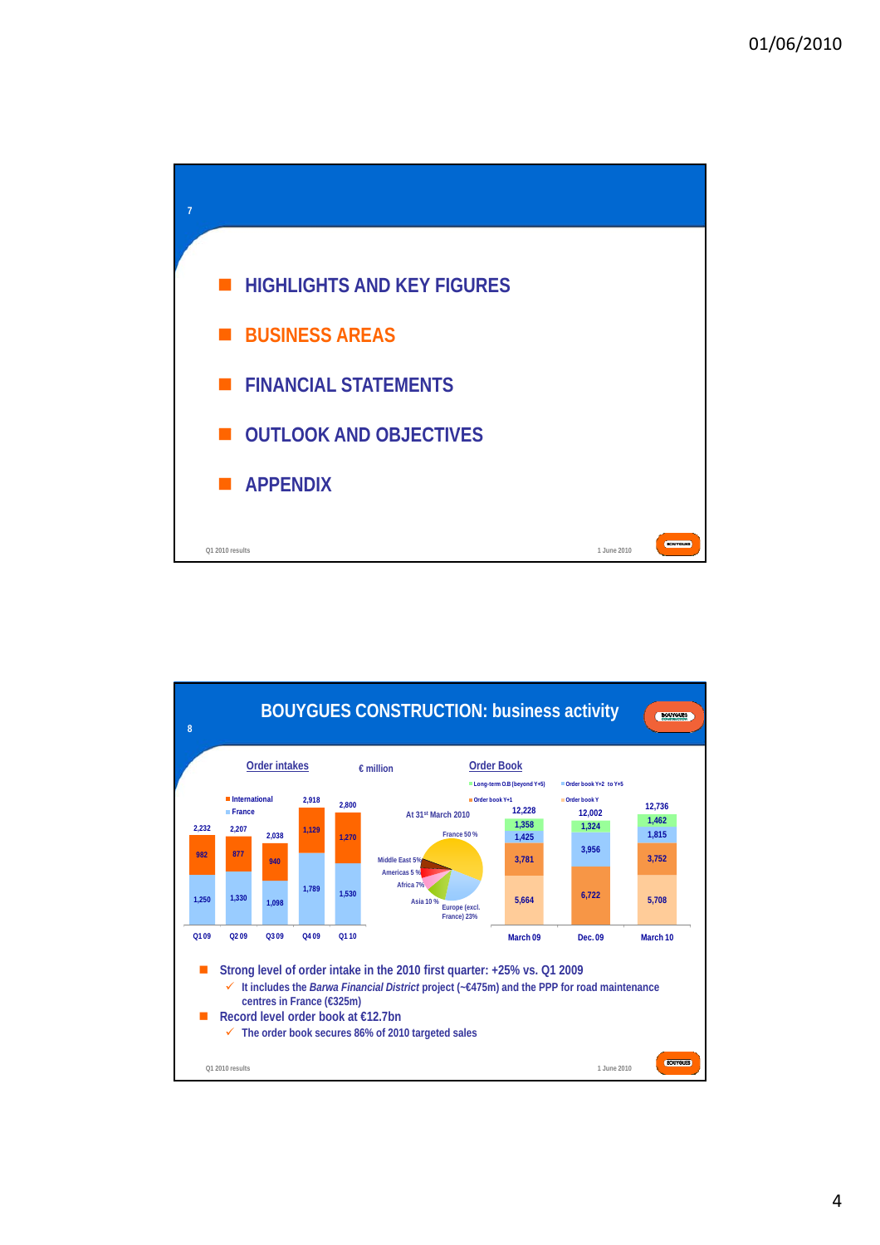



4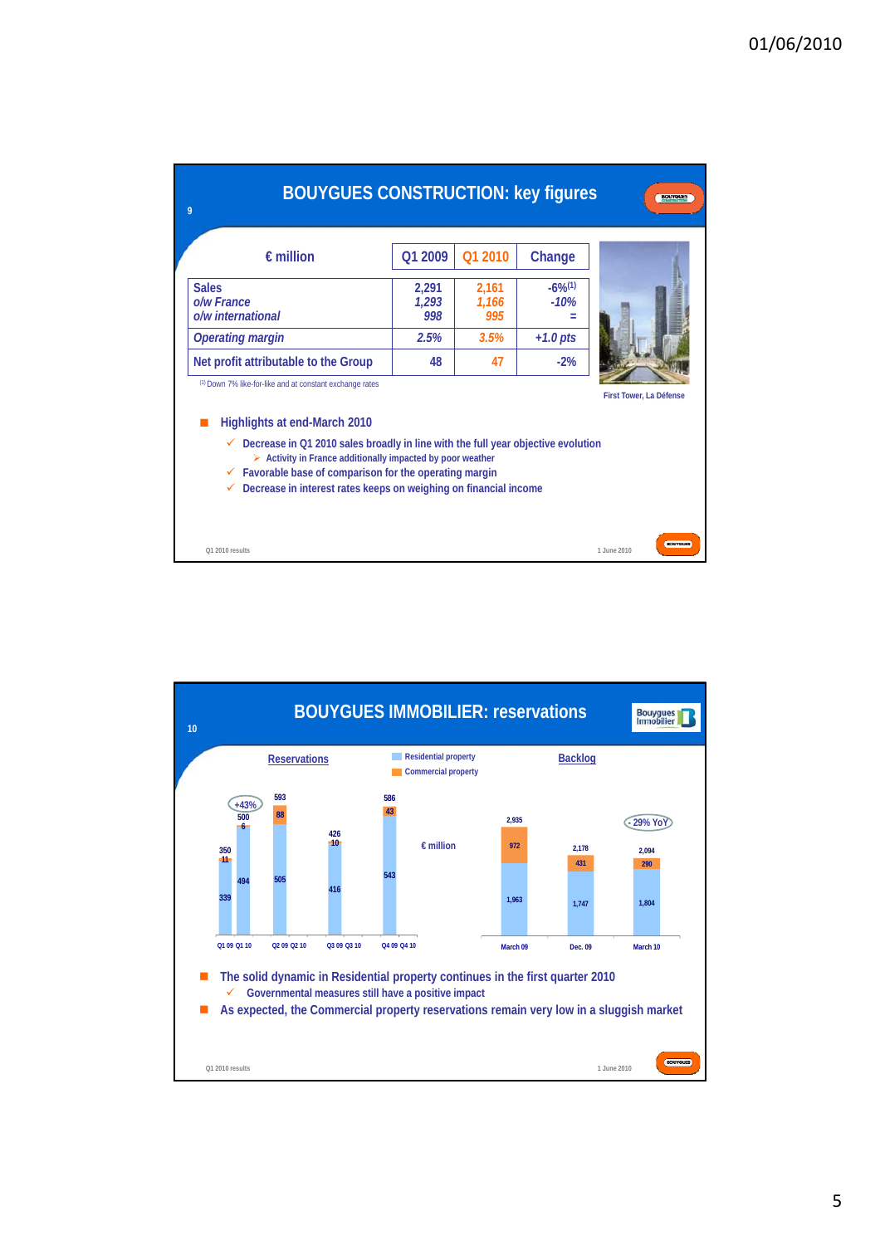| <b>BOUYGUES CONSTRUCTION: key figures</b><br>9                                                                                                                                                                                                                                                                                                                                                                |                       |                       |                                 | <b>BOUYGUES</b>                  |
|---------------------------------------------------------------------------------------------------------------------------------------------------------------------------------------------------------------------------------------------------------------------------------------------------------------------------------------------------------------------------------------------------------------|-----------------------|-----------------------|---------------------------------|----------------------------------|
| $\epsilon$ million                                                                                                                                                                                                                                                                                                                                                                                            | O1 2009               | O1 2010               | Change                          |                                  |
| <b>Sales</b><br>o/w France<br>o/w international                                                                                                                                                                                                                                                                                                                                                               | 2,291<br>1.293<br>998 | 2,161<br>1,166<br>995 | $-6\%$ <sup>(1)</sup><br>$-10%$ |                                  |
| <b>Operating margin</b>                                                                                                                                                                                                                                                                                                                                                                                       | 2.5%                  | 3.5%                  | $+1.0$ pts                      |                                  |
| Net profit attributable to the Group                                                                                                                                                                                                                                                                                                                                                                          | 48                    | 47                    | $-2%$                           |                                  |
| (1) Down 7% like-for-like and at constant exchange rates<br>Highlights at end-March 2010<br>Decrease in Q1 2010 sales broadly in line with the full year objective evolution<br>✓<br>$\triangleright$ Activity in France additionally impacted by poor weather<br>$\checkmark$ Favorable base of comparison for the operating margin<br>Decrease in interest rates keeps on weighing on financial income<br>✓ |                       |                       |                                 | First Tower, La Défense          |
| Q1 2010 results                                                                                                                                                                                                                                                                                                                                                                                               |                       |                       |                                 | <b>BCXUTGLIBS</b><br>1.June 2010 |

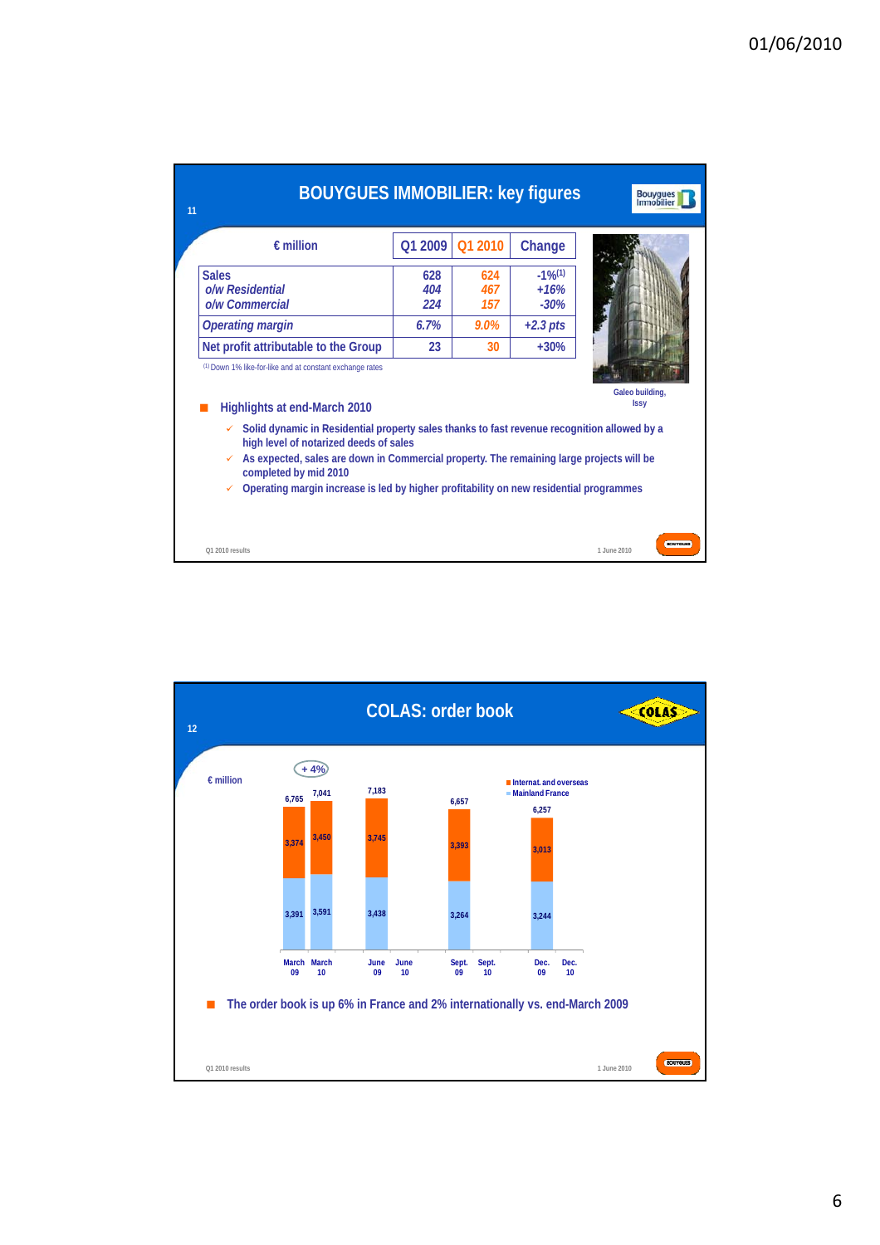| <b>BOUYGUES IMMOBILIER: key figures</b><br>11                                                                                                                                                                                                                                                                                                                                                                                                    |                   |                   |                                           | <b>Bouygues</b><br>Immobilier  |
|--------------------------------------------------------------------------------------------------------------------------------------------------------------------------------------------------------------------------------------------------------------------------------------------------------------------------------------------------------------------------------------------------------------------------------------------------|-------------------|-------------------|-------------------------------------------|--------------------------------|
| $\epsilon$ million                                                                                                                                                                                                                                                                                                                                                                                                                               | Q1 2009           | Q1 2010           | Change                                    |                                |
| <b>Sales</b><br>o/w Residential<br>o/w Commercial                                                                                                                                                                                                                                                                                                                                                                                                | 628<br>404<br>224 | 624<br>467<br>157 | $-1\%$ <sup>(1)</sup><br>$+16%$<br>$-30%$ |                                |
| <b>Operating margin</b>                                                                                                                                                                                                                                                                                                                                                                                                                          | 6.7%              | $9.0\%$           | $+2.3$ pts                                |                                |
| Net profit attributable to the Group                                                                                                                                                                                                                                                                                                                                                                                                             | 23                | 30                | $+30%$                                    |                                |
| (1) Down 1% like-for-like and at constant exchange rates<br>Highlights at end-March 2010<br>Solid dynamic in Residential property sales thanks to fast revenue recognition allowed by a<br>high level of notarized deeds of sales<br>As expected, sales are down in Commercial property. The remaining large projects will be<br>completed by mid 2010<br>Operating margin increase is led by higher profitability on new residential programmes |                   |                   |                                           | Galeo building,<br><b>Issy</b> |
| O1 2010 results                                                                                                                                                                                                                                                                                                                                                                                                                                  |                   |                   |                                           | <b>BCXUTGUB</b><br>1.June 2010 |

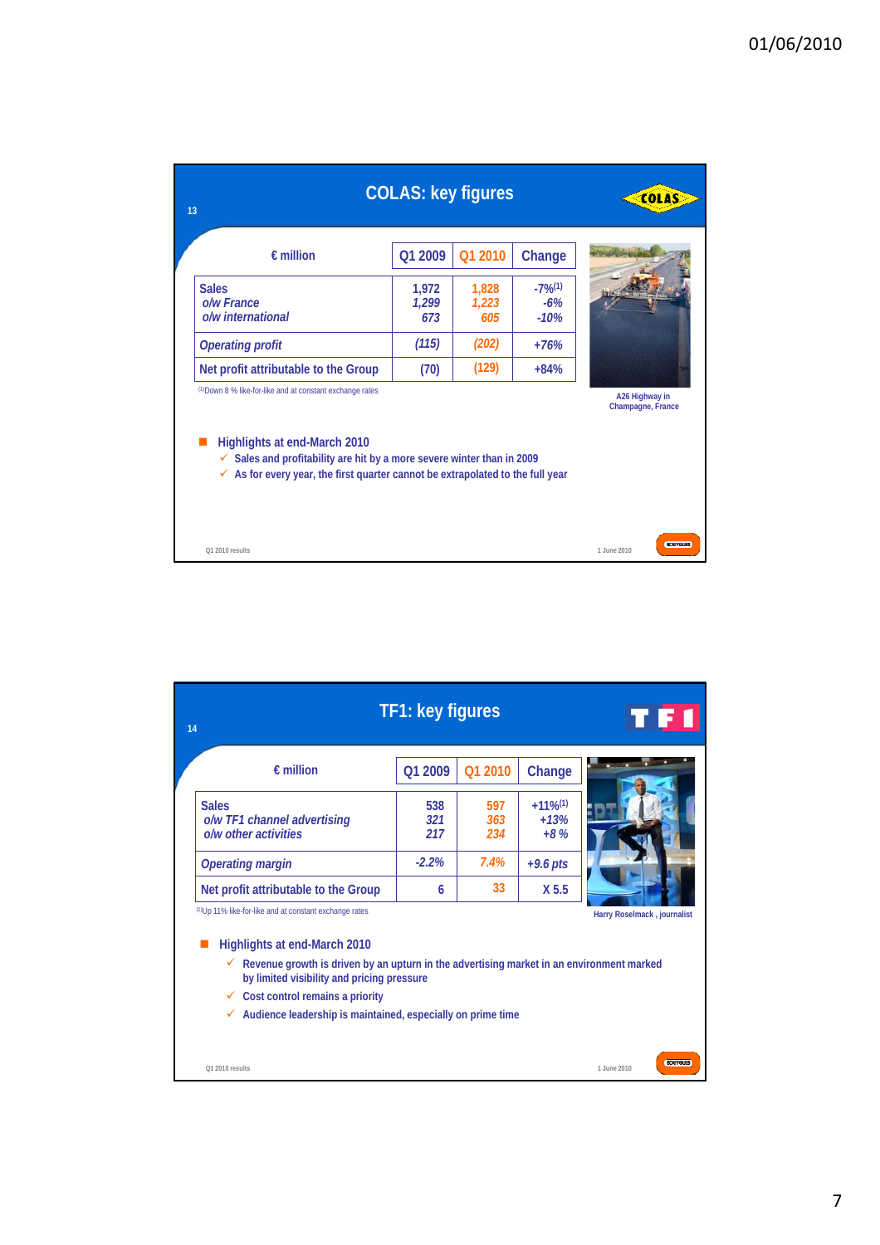| 13                                                                                                                                                                                                                                                                             | <b>COLAS: key figures</b> |                       |                                          | <b>COLAS</b>                        |
|--------------------------------------------------------------------------------------------------------------------------------------------------------------------------------------------------------------------------------------------------------------------------------|---------------------------|-----------------------|------------------------------------------|-------------------------------------|
| $\epsilon$ million                                                                                                                                                                                                                                                             | Q1 2009                   | Q1 2010               | Change                                   |                                     |
| <b>Sales</b><br>o/w France<br>o/w international                                                                                                                                                                                                                                | 1,972<br>1,299<br>673     | 1,828<br>1,223<br>605 | $-7\%$ <sup>(1)</sup><br>$-6%$<br>$-10%$ |                                     |
| <b>Operating profit</b>                                                                                                                                                                                                                                                        | (115)                     | (202)                 | $+76%$                                   |                                     |
| Net profit attributable to the Group                                                                                                                                                                                                                                           | (70)                      | (129)                 | $+84%$                                   |                                     |
| (1) Down 8 % like-for-like and at constant exchange rates<br>Highlights at end-March 2010<br>Sales and profitability are hit by a more severe winter than in 2009<br>$\checkmark$<br>$\checkmark$ As for every year, the first quarter cannot be extrapolated to the full year |                           |                       |                                          | A26 Highway in<br>Champagne, France |
| Q1 2010 results                                                                                                                                                                                                                                                                |                           |                       |                                          | <b>BCAUTGURS</b><br>1.June 2010     |

| 14 |                                                                                                                                             | TF1: key figures  |                   |                                           | TFI                            |
|----|---------------------------------------------------------------------------------------------------------------------------------------------|-------------------|-------------------|-------------------------------------------|--------------------------------|
|    | $f$ million                                                                                                                                 | Q1 2009           | O1 2010           | Change                                    |                                |
|    | <b>Sales</b><br>o/w TF1 channel advertising<br>o/w other activities                                                                         | 538<br>321<br>217 | 597<br>363<br>234 | $+11\%$ <sup>(1)</sup><br>$+13%$<br>$+8%$ |                                |
|    | <b>Operating margin</b>                                                                                                                     | $-2.2\%$          | 7.4%              | $+9.6$ pts                                |                                |
|    | Net profit attributable to the Group                                                                                                        | 6                 | 33                | X 5.5                                     |                                |
|    | (1)Up 11% like-for-like and at constant exchange rates                                                                                      |                   |                   |                                           | Harry Roselmack, journalist    |
|    | Highlights at end-March 2010                                                                                                                |                   |                   |                                           |                                |
|    | Revenue growth is driven by an upturn in the advertising market in an environment marked<br>✓<br>by limited visibility and pricing pressure |                   |                   |                                           |                                |
|    | Cost control remains a priority<br>✓                                                                                                        |                   |                   |                                           |                                |
|    | Audience leadership is maintained, especially on prime time<br>✓                                                                            |                   |                   |                                           |                                |
|    |                                                                                                                                             |                   |                   |                                           |                                |
|    | Q1 2010 results                                                                                                                             |                   |                   |                                           | <b>BOUYGUES</b><br>1.June 2010 |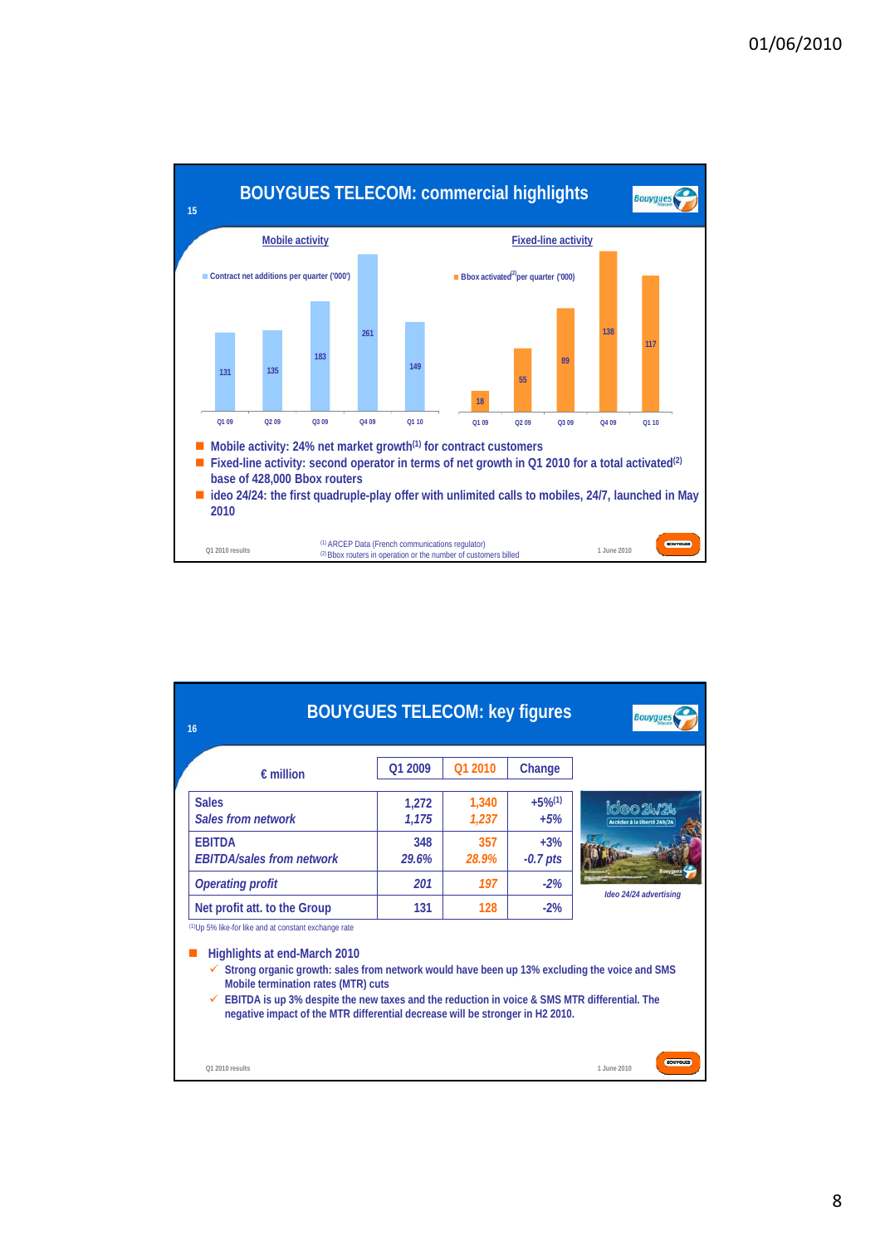

| 16                                                                                                                                                                                                                                                                                                                                                                                                                                                 | <b>BOUYGUES TELECOM: key figures</b> |                |                               | <b>Bouygues</b>                               |
|----------------------------------------------------------------------------------------------------------------------------------------------------------------------------------------------------------------------------------------------------------------------------------------------------------------------------------------------------------------------------------------------------------------------------------------------------|--------------------------------------|----------------|-------------------------------|-----------------------------------------------|
| $f$ million                                                                                                                                                                                                                                                                                                                                                                                                                                        | Q1 2009                              | Q1 2010        | Change                        |                                               |
| <b>Sales</b><br><b>Sales from network</b>                                                                                                                                                                                                                                                                                                                                                                                                          | 1,272<br>1,175                       | 1.340<br>1.237 | $+5%$ <sup>(1)</sup><br>$+5%$ | 1620 <i>9</i> 47<br>Accédez à la liberté 24h/ |
| <b>FBITDA</b><br><b>FBITDA/sales from network</b>                                                                                                                                                                                                                                                                                                                                                                                                  | 348<br>29.6%                         | 357<br>28.9%   | $+3%$<br>$-0.7$ pts           |                                               |
| <b>Operating profit</b>                                                                                                                                                                                                                                                                                                                                                                                                                            | 201                                  | 197            | $-2%$                         | Ideo 24/24 advertising                        |
| Net profit att. to the Group                                                                                                                                                                                                                                                                                                                                                                                                                       | 131                                  | 128            | $-2%$                         |                                               |
| <sup>(1)</sup> Up 5% like-for like and at constant exchange rate<br>Highlights at end-March 2010<br>$\checkmark$ Strong organic growth: sales from network would have been up 13% excluding the voice and SMS<br>Mobile termination rates (MTR) cuts<br>$\checkmark$ EBITDA is up 3% despite the new taxes and the reduction in voice & SMS MTR differential. The<br>negative impact of the MTR differential decrease will be stronger in H2 2010. |                                      |                |                               |                                               |
| Q1 2010 results                                                                                                                                                                                                                                                                                                                                                                                                                                    |                                      |                |                               | <b>BOUYGUES</b><br>1 June 2010                |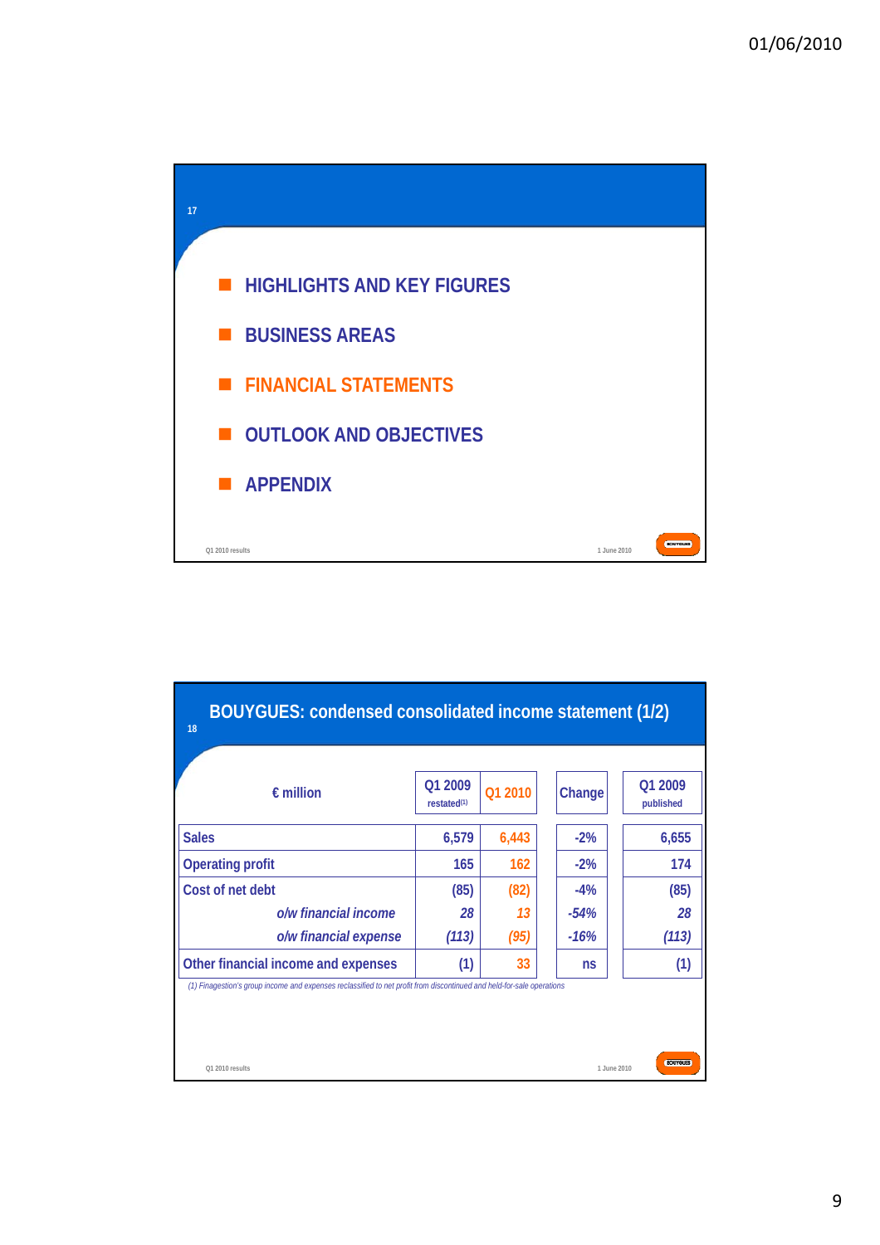

| $\epsilon$ million                                                                                                    | Q1 2009<br>restated <sup>(1)</sup> | Q1 2010 | Change | Q1 2009<br>published |
|-----------------------------------------------------------------------------------------------------------------------|------------------------------------|---------|--------|----------------------|
| <b>Sales</b>                                                                                                          | 6,579                              | 6,443   | $-2%$  | 6,655                |
| <b>Operating profit</b>                                                                                               | 165                                | 162     | $-2\%$ | 174                  |
| Cost of net debt                                                                                                      | (85)                               | (82)    | $-4%$  | (85)                 |
| o/w financial income                                                                                                  | 28                                 | 13      | $-54%$ | 28                   |
| o/w financial expense                                                                                                 | (113)                              | (95)    | $-16%$ | (113)                |
| Other financial income and expenses                                                                                   | (1)                                | 33      | ns     | (1)                  |
| (1) Finagestion's group income and expenses reclassified to net profit from discontinued and held-for-sale operations |                                    |         |        |                      |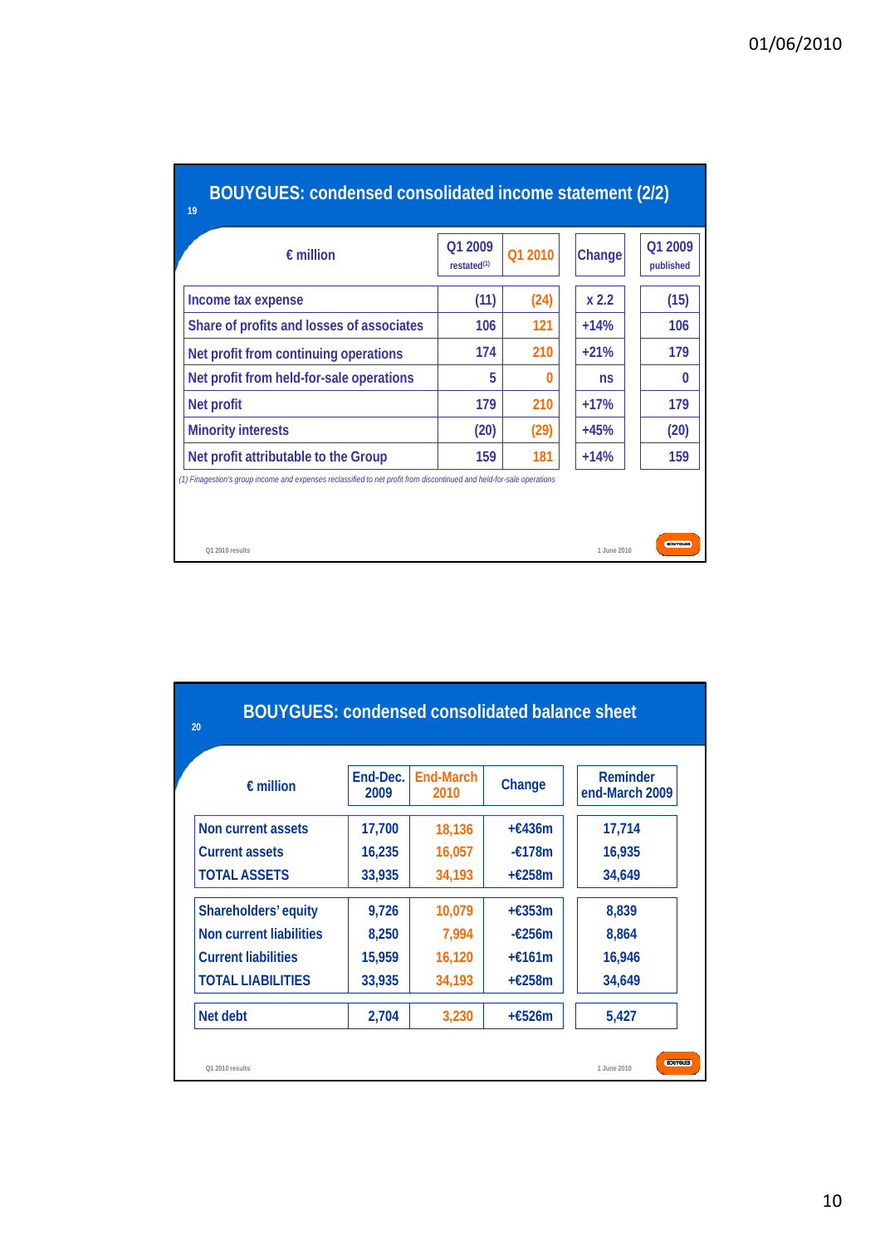| BOUYGUES: condensed consolidated income statement (2/2)<br>19                                                         |                                    |         |             |                      |
|-----------------------------------------------------------------------------------------------------------------------|------------------------------------|---------|-------------|----------------------|
| $\epsilon$ million                                                                                                    | O1 2009<br>restated <sup>(1)</sup> | Q1 2010 | Change      | Q1 2009<br>published |
| Income tax expense                                                                                                    | (11)                               | (24)    | x 2.2       | (15)                 |
| Share of profits and losses of associates                                                                             | 106                                | 121     | $+14%$      | 106                  |
| Net profit from continuing operations                                                                                 | 174                                | 210     | $+21%$      | 179                  |
| Net profit from held-for-sale operations                                                                              | 5                                  | 0       | ns          | 0                    |
| <b>Net profit</b>                                                                                                     | 179                                | 210     | $+17%$      | 179                  |
| <b>Minority interests</b>                                                                                             | (20)                               | (29)    | $+45%$      | (20)                 |
| Net profit attributable to the Group                                                                                  | 159                                | 181     | $+14%$      | 159                  |
| (1) Finagestion's group income and expenses reclassified to net profit from discontinued and held-for-sale operations |                                    |         |             |                      |
| Q1 2010 results                                                                                                       |                                    |         | 1.June 2010 | <b>BCXUTGUR</b>      |

| $\epsilon$ million             | End-Dec.<br>2009 | End-March<br>2010 | Change           | Reminder<br>end-March 2009 |
|--------------------------------|------------------|-------------------|------------------|----------------------------|
| Non current assets             | 17,700           | 18,136            | $+£436m$         | 17,714                     |
| <b>Current assets</b>          | 16,235           | 16,057            | $-\epsilon$ 178m | 16,935                     |
| <b>TOTAL ASSETS</b>            | 33,935           | 34,193            | $+£258m$         | 34,649                     |
| Shareholders' equity           | 9,726            | 10,079            | $+£353m$         | 8,839                      |
| <b>Non current liabilities</b> | 8,250            | 7.994             | $-\epsilon$ 256m | 8.864                      |
| <b>Current liabilities</b>     | 15,959           | 16,120            | $+£161m$         | 16,946                     |
| <b>TOTAL LIABILITIES</b>       | 33,935           | 34,193            | $+£258m$         | 34,649                     |
| Net debt                       | 2,704            | 3,230             | $+£526m$         | 5,427                      |

## 10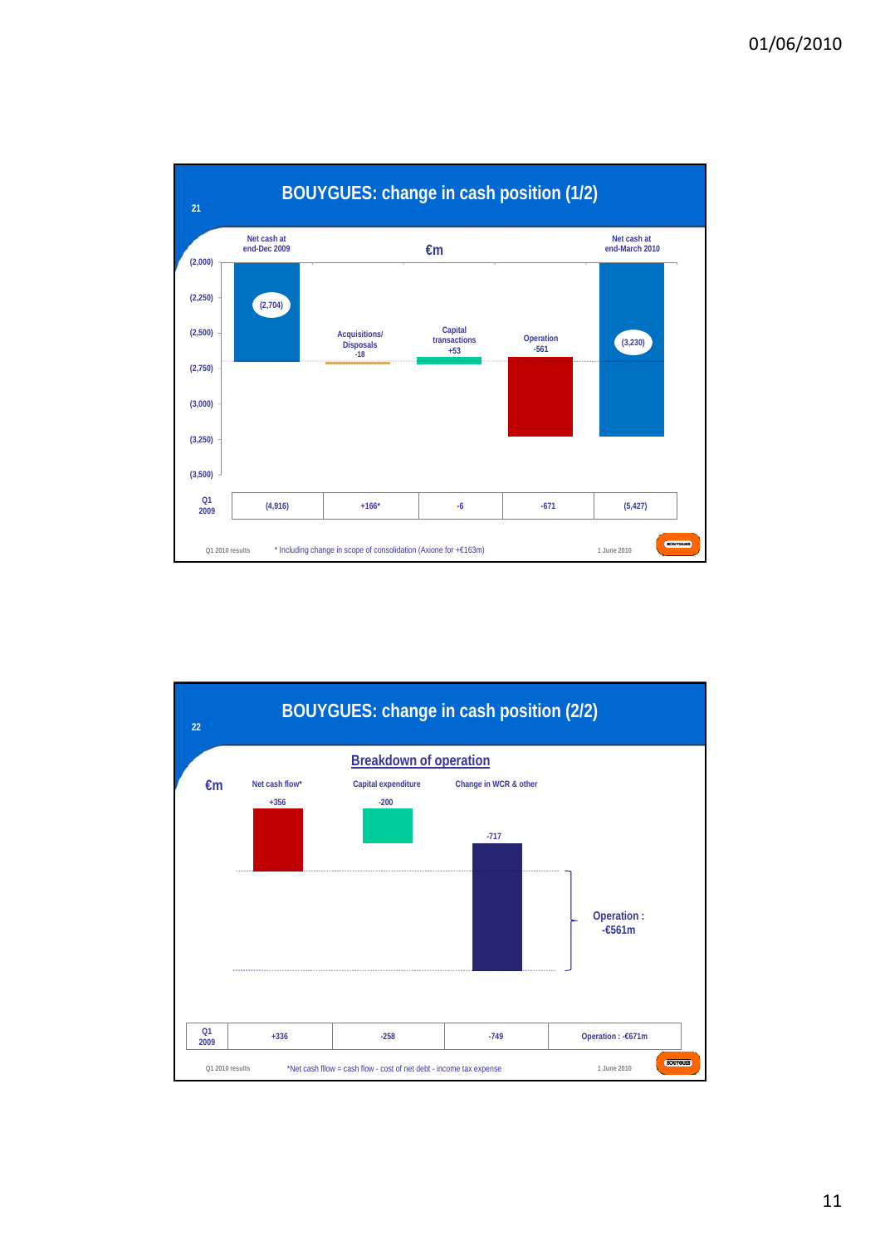

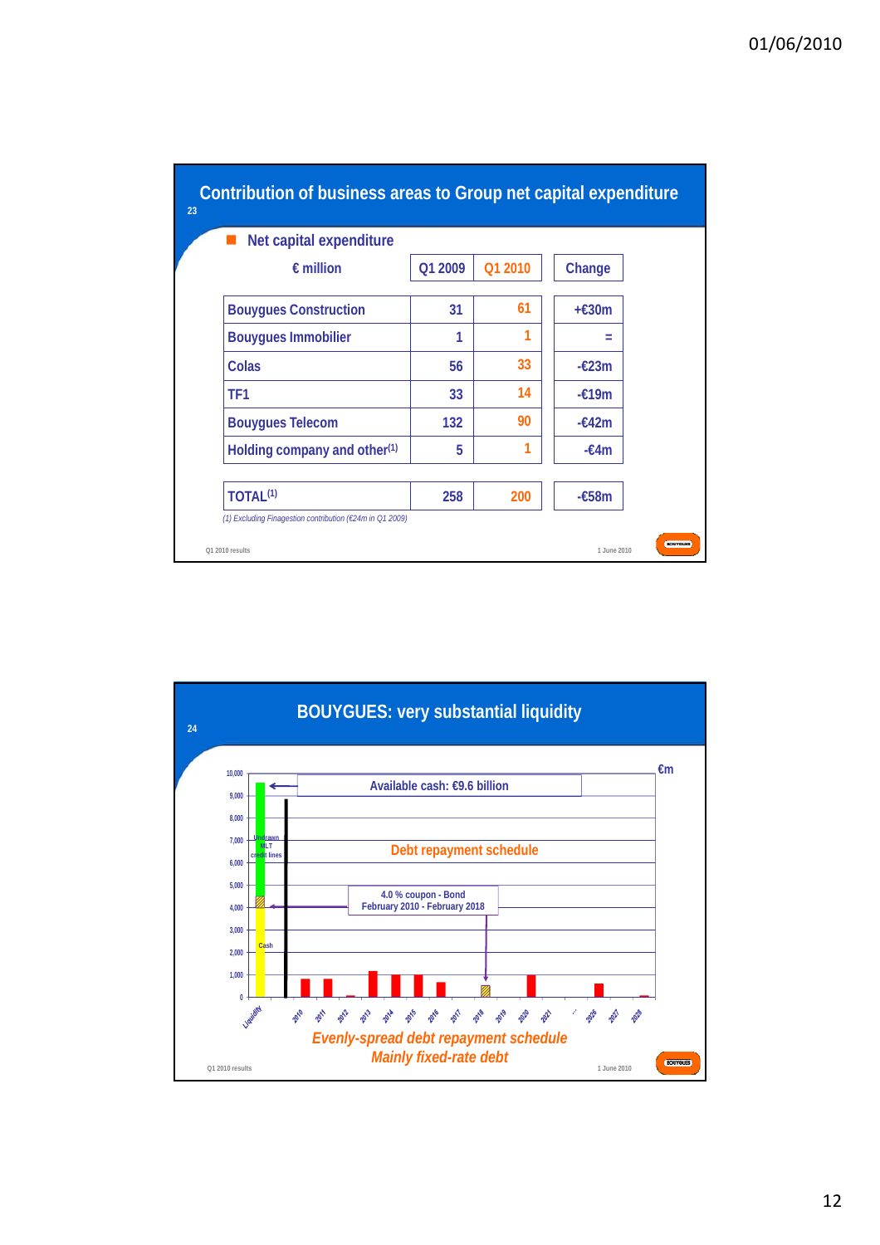| Net capital expenditure                  |         |         |                 |
|------------------------------------------|---------|---------|-----------------|
| $\epsilon$ million                       | O1 2009 | O1 2010 | Change          |
| <b>Bouygues Construction</b>             | 31      | 61      | $+£30m$         |
| <b>Bouygues Immobilier</b>               | 1       |         | $=$             |
| Colas                                    | 56      | 33      | $-\epsilon$ 23m |
| TF1                                      | 33      | 14      | $-£19m$         |
| <b>Bouygues Telecom</b>                  | 132     | 90      | $-£42m$         |
| Holding company and other <sup>(1)</sup> | 5       |         | $-£4m$          |
| TOTAL <sup>(1)</sup>                     | 258     | 200     | $-£58m$         |

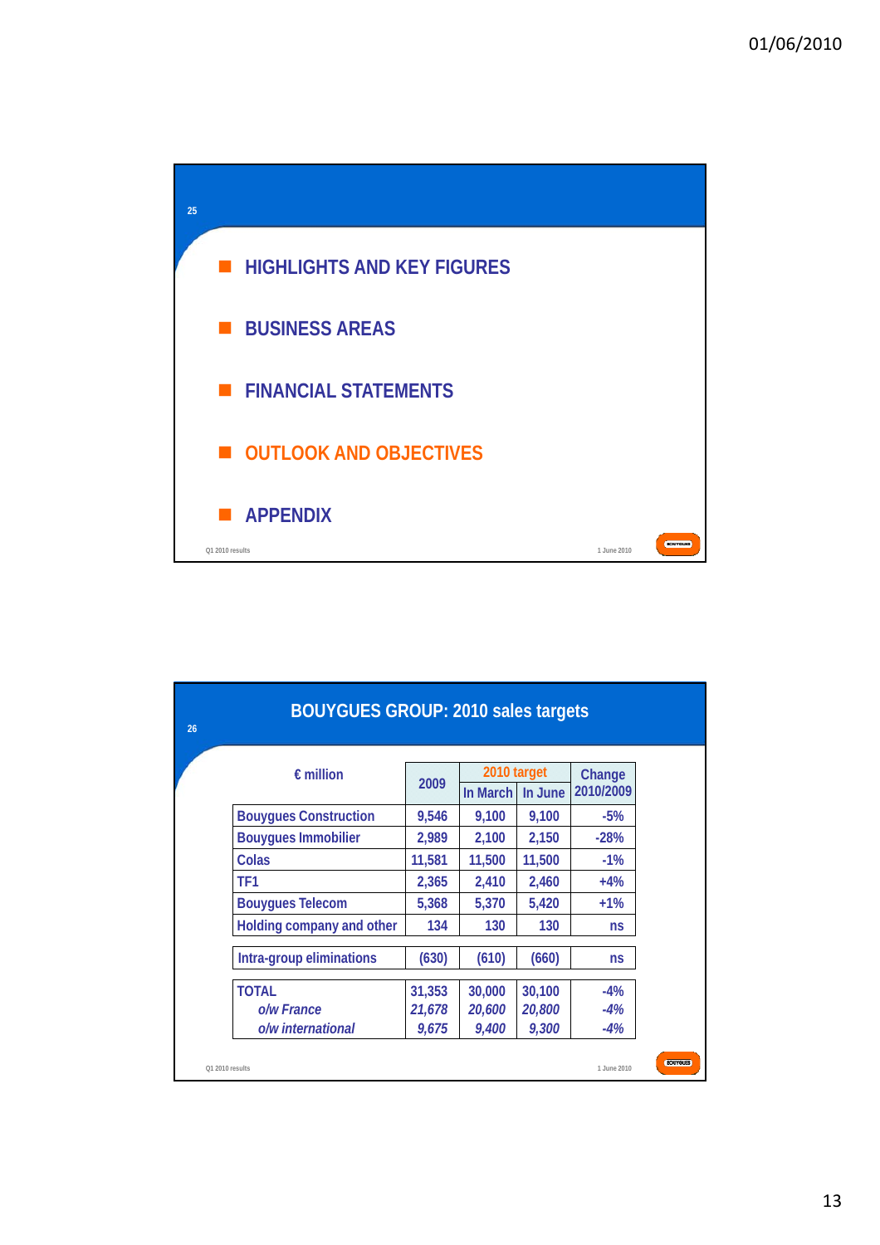

| 26 | <b>BOUYGUES GROUP: 2010 sales targets</b> |                                           |        |        |                     |                 |  |  |  |  |  |  |
|----|-------------------------------------------|-------------------------------------------|--------|--------|---------------------|-----------------|--|--|--|--|--|--|
|    | $\epsilon$ million                        | 2010 target<br>2009<br>In March   In June |        |        | Change<br>2010/2009 |                 |  |  |  |  |  |  |
|    | <b>Bouygues Construction</b>              | 9,546                                     | 9,100  | 9,100  | $-5%$               |                 |  |  |  |  |  |  |
|    | <b>Bouygues Immobilier</b>                | 2,989                                     | 2,100  | 2,150  | $-28%$              |                 |  |  |  |  |  |  |
|    | Colas                                     | 11,581                                    | 11,500 | 11,500 | $-1%$               |                 |  |  |  |  |  |  |
|    | TF <sub>1</sub>                           | 2,365                                     | 2,410  | 2,460  | $+4%$               |                 |  |  |  |  |  |  |
|    | <b>Bouygues Telecom</b>                   | 5,368                                     | 5,370  | 5,420  | $+1%$               |                 |  |  |  |  |  |  |
|    | Holding company and other                 | 134                                       | 130    | 130    | ns                  |                 |  |  |  |  |  |  |
|    | Intra-group eliminations                  | (630)                                     | (610)  | (660)  | ns                  |                 |  |  |  |  |  |  |
|    | <b>TOTAL</b>                              | 31,353                                    | 30,000 | 30,100 | $-4%$               |                 |  |  |  |  |  |  |
|    | o/w France                                | 21,678                                    | 20,600 | 20,800 | $-4%$               |                 |  |  |  |  |  |  |
|    | o/w international                         | 9,675                                     | 9,400  | 9,300  | $-4%$               |                 |  |  |  |  |  |  |
|    | O1 2010 results                           |                                           |        |        | 1.June 2010         | <b>BOUYGUES</b> |  |  |  |  |  |  |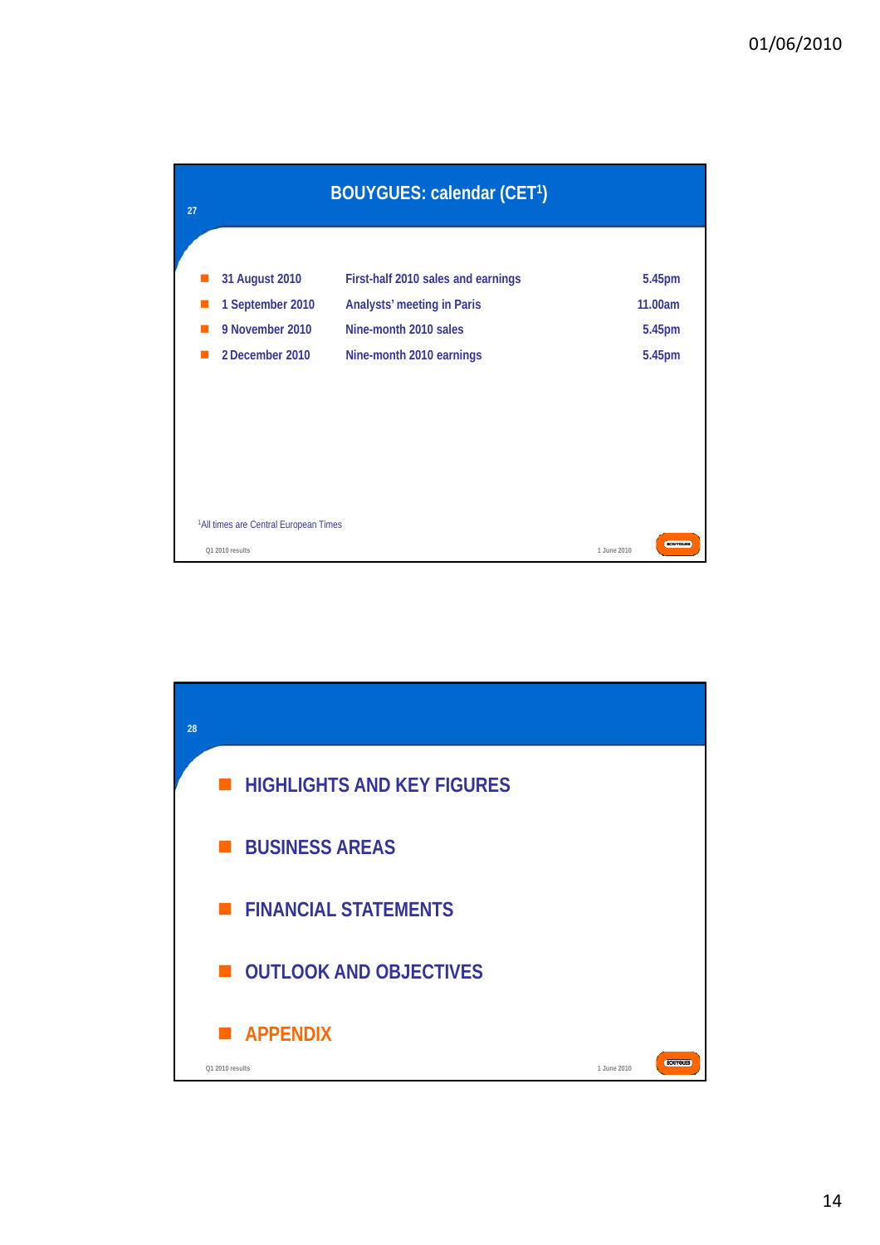

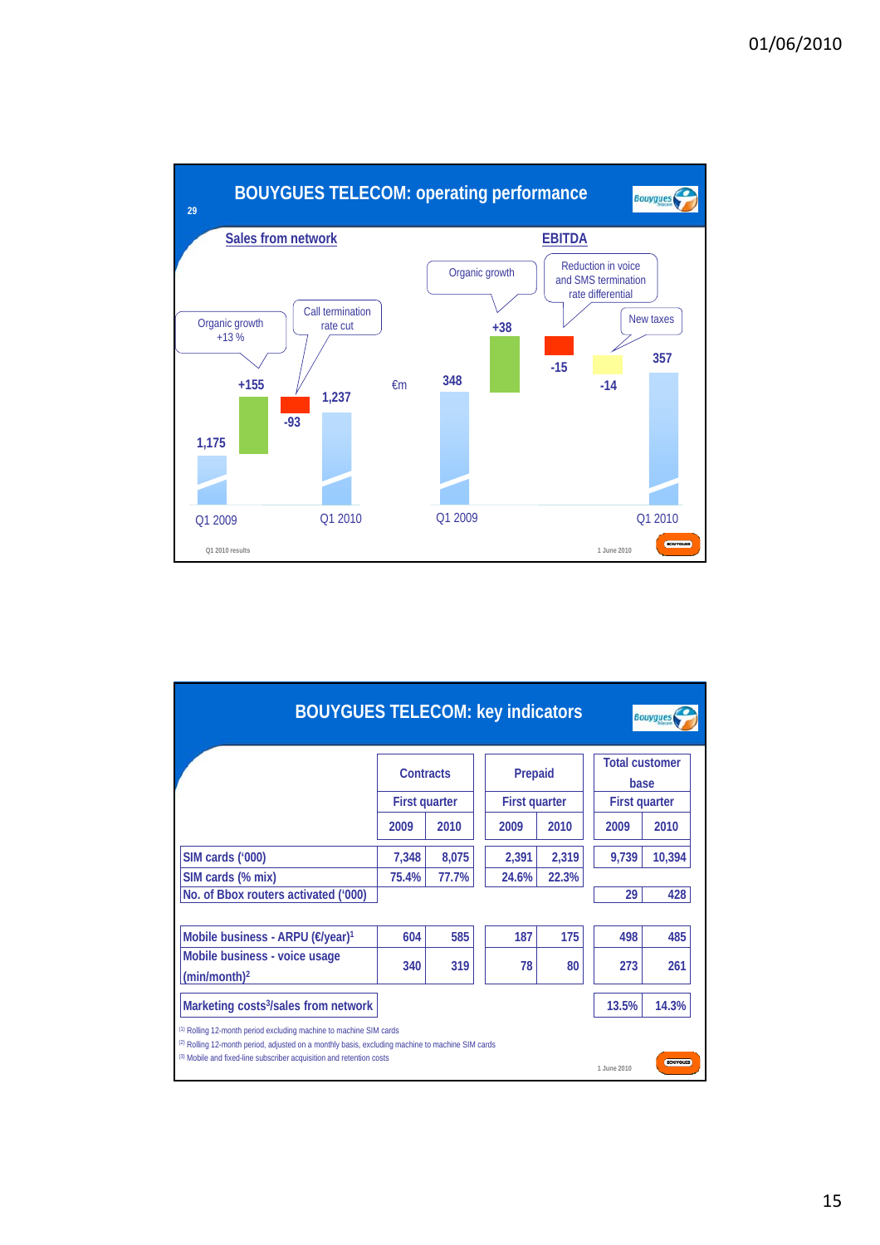

| <b>BOUYGUES TELECOM: key indicators</b><br><b>Bouygues</b>                                                                                                               |                      |                 |         |                      |                                                       |        |  |  |  |  |
|--------------------------------------------------------------------------------------------------------------------------------------------------------------------------|----------------------|-----------------|---------|----------------------|-------------------------------------------------------|--------|--|--|--|--|
|                                                                                                                                                                          | Contracts            |                 | Prepaid |                      | <b>Total customer</b><br>base<br><b>First quarter</b> |        |  |  |  |  |
|                                                                                                                                                                          | <b>First quarter</b> |                 |         | <b>First quarter</b> |                                                       |        |  |  |  |  |
|                                                                                                                                                                          | 2009                 | 2010            | 2009    | 2010                 | 2009                                                  | 2010   |  |  |  |  |
| SIM cards ('000)                                                                                                                                                         | 7,348                | 8,075           | 2,391   | 2,319                | 9,739                                                 | 10,394 |  |  |  |  |
| SIM cards (% mix)                                                                                                                                                        | 75.4%                | 77.7%           | 24.6%   | 22.3%                |                                                       |        |  |  |  |  |
| No. of Bbox routers activated ('000)                                                                                                                                     |                      |                 |         |                      | 29                                                    | 428    |  |  |  |  |
|                                                                                                                                                                          |                      |                 |         |                      |                                                       |        |  |  |  |  |
| Mobile business - ARPU (€/year) <sup>1</sup>                                                                                                                             | 604                  | 585             | 187     | 175                  | 498                                                   | 485    |  |  |  |  |
| Mobile business - voice usage                                                                                                                                            | 340                  | 319             | 78      | 80                   | 273                                                   | 261    |  |  |  |  |
| (min/month) <sup>2</sup>                                                                                                                                                 |                      |                 |         |                      |                                                       |        |  |  |  |  |
| Marketing costs <sup>3</sup> /sales from network                                                                                                                         |                      |                 |         |                      | 13.5%                                                 | 14.3%  |  |  |  |  |
| (1) Rolling 12-month period excluding machine to machine SIM cards                                                                                                       |                      |                 |         |                      |                                                       |        |  |  |  |  |
| (2) Rolling 12-month period, adjusted on a monthly basis, excluding machine to machine SIM cards<br>(3) Mobile and fixed-line subscriber acquisition and retention costs | 1.June 2010          | <b>BOUYGUES</b> |         |                      |                                                       |        |  |  |  |  |